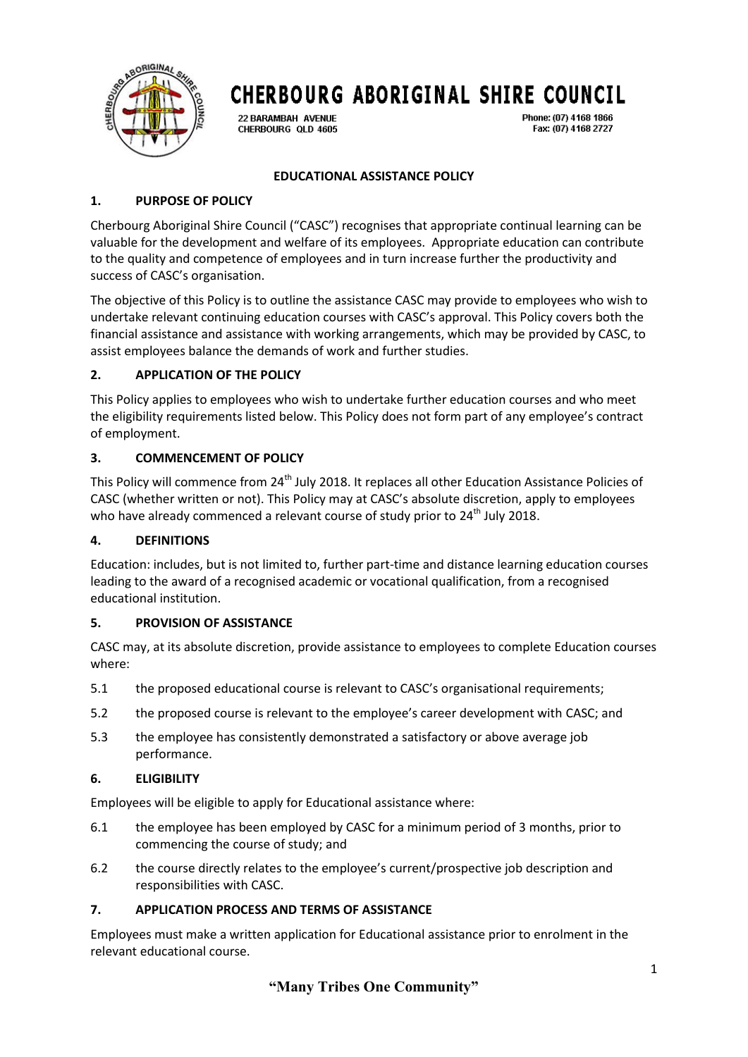

22 BARAMBAH AVENUE CHERBOURG QLD 4605 Phone: (07) 4168 1866 Fax: (07) 4168 2727

# **EDUCATIONAL ASSISTANCE POLICY**

# **1. PURPOSE OF POLICY**

Cherbourg Aboriginal Shire Council ("CASC") recognises that appropriate continual learning can be valuable for the development and welfare of its employees. Appropriate education can contribute to the quality and competence of employees and in turn increase further the productivity and success of CASC's organisation.

The objective of this Policy is to outline the assistance CASC may provide to employees who wish to undertake relevant continuing education courses with CASC's approval. This Policy covers both the financial assistance and assistance with working arrangements, which may be provided by CASC, to assist employees balance the demands of work and further studies.

# **2. APPLICATION OF THE POLICY**

This Policy applies to employees who wish to undertake further education courses and who meet the eligibility requirements listed below. This Policy does not form part of any employee's contract of employment.

### **3. COMMENCEMENT OF POLICY**

This Policy will commence from 24<sup>th</sup> July 2018. It replaces all other Education Assistance Policies of CASC (whether written or not). This Policy may at CASC's absolute discretion, apply to employees who have already commenced a relevant course of study prior to  $24<sup>th</sup>$  July 2018.

### **4. DEFINITIONS**

Education: includes, but is not limited to, further part-time and distance learning education courses leading to the award of a recognised academic or vocational qualification, from a recognised educational institution.

### **5. PROVISION OF ASSISTANCE**

CASC may, at its absolute discretion, provide assistance to employees to complete Education courses where:

- 5.1 the proposed educational course is relevant to CASC's organisational requirements;
- 5.2 the proposed course is relevant to the employee's career development with CASC; and
- 5.3 the employee has consistently demonstrated a satisfactory or above average job performance.

### **6. ELIGIBILITY**

Employees will be eligible to apply for Educational assistance where:

- 6.1 the employee has been employed by CASC for a minimum period of 3 months, prior to commencing the course of study; and
- 6.2 the course directly relates to the employee's current/prospective job description and responsibilities with CASC.

### **7. APPLICATION PROCESS AND TERMS OF ASSISTANCE**

Employees must make a written application for Educational assistance prior to enrolment in the relevant educational course.

**"Many Tribes One Community"**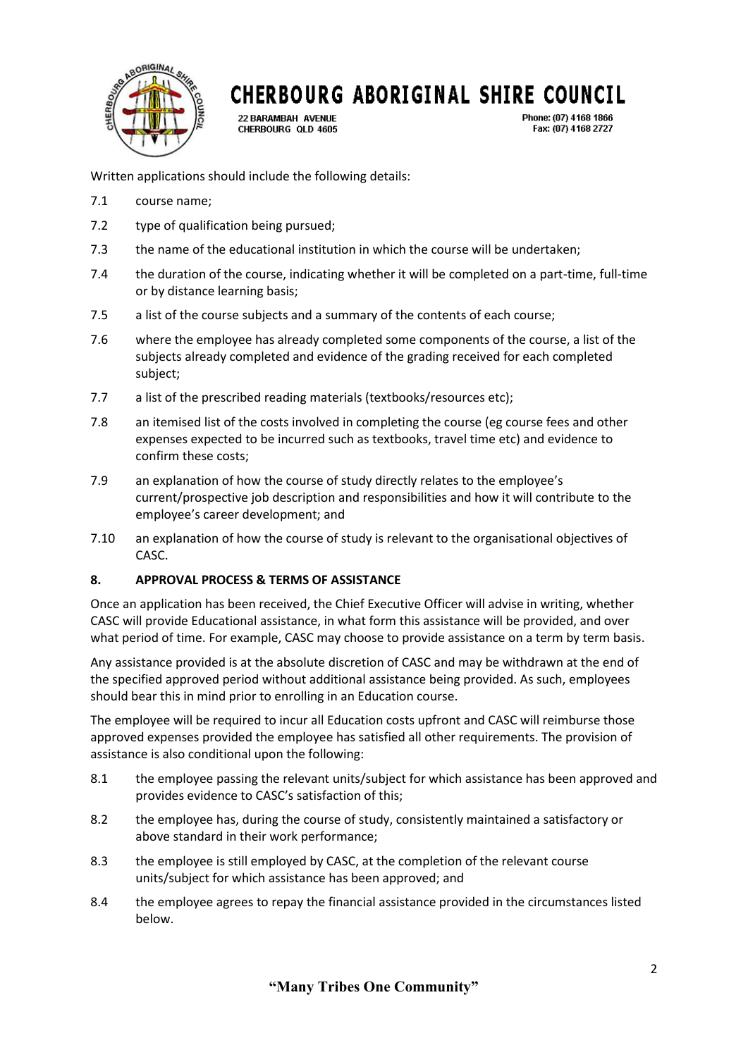

22 BARAMBAH AVENUE CHERBOURG QLD 4605 Phone: (07) 4168 1866 Fax: (07) 4168 2727

Written applications should include the following details:

- 7.1 course name;
- 7.2 type of qualification being pursued;
- 7.3 the name of the educational institution in which the course will be undertaken;
- 7.4 the duration of the course, indicating whether it will be completed on a part-time, full-time or by distance learning basis;
- 7.5 a list of the course subjects and a summary of the contents of each course;
- 7.6 where the employee has already completed some components of the course, a list of the subjects already completed and evidence of the grading received for each completed subject;
- 7.7 a list of the prescribed reading materials (textbooks/resources etc);
- 7.8 an itemised list of the costs involved in completing the course (eg course fees and other expenses expected to be incurred such as textbooks, travel time etc) and evidence to confirm these costs;
- 7.9 an explanation of how the course of study directly relates to the employee's current/prospective job description and responsibilities and how it will contribute to the employee's career development; and
- 7.10 an explanation of how the course of study is relevant to the organisational objectives of CASC.

### **8. APPROVAL PROCESS & TERMS OF ASSISTANCE**

Once an application has been received, the Chief Executive Officer will advise in writing, whether CASC will provide Educational assistance, in what form this assistance will be provided, and over what period of time. For example, CASC may choose to provide assistance on a term by term basis.

Any assistance provided is at the absolute discretion of CASC and may be withdrawn at the end of the specified approved period without additional assistance being provided. As such, employees should bear this in mind prior to enrolling in an Education course.

The employee will be required to incur all Education costs upfront and CASC will reimburse those approved expenses provided the employee has satisfied all other requirements. The provision of assistance is also conditional upon the following:

- 8.1 the employee passing the relevant units/subject for which assistance has been approved and provides evidence to CASC's satisfaction of this;
- 8.2 the employee has, during the course of study, consistently maintained a satisfactory or above standard in their work performance;
- 8.3 the employee is still employed by CASC, at the completion of the relevant course units/subject for which assistance has been approved; and
- 8.4 the employee agrees to repay the financial assistance provided in the circumstances listed below.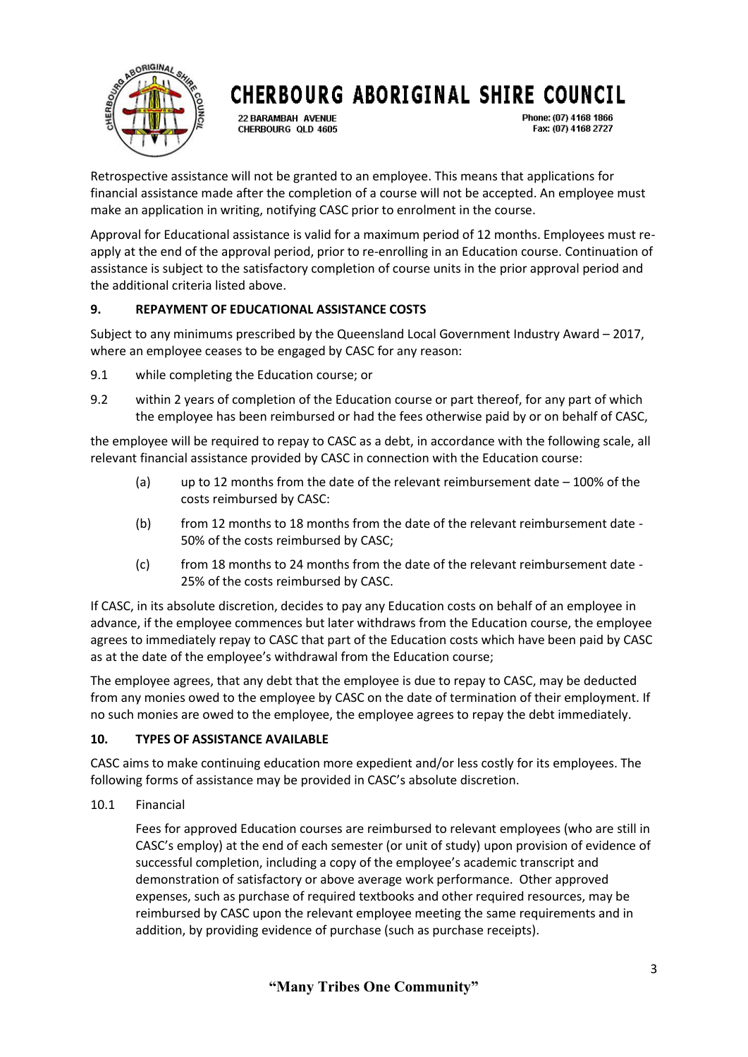

22 BARAMBAH AVENUE CHERBOURG OLD 4605 Phone: (07) 4168 1866 Fax: (07) 4168 2727

Retrospective assistance will not be granted to an employee. This means that applications for financial assistance made after the completion of a course will not be accepted. An employee must make an application in writing, notifying CASC prior to enrolment in the course.

Approval for Educational assistance is valid for a maximum period of 12 months. Employees must reapply at the end of the approval period, prior to re-enrolling in an Education course. Continuation of assistance is subject to the satisfactory completion of course units in the prior approval period and the additional criteria listed above.

# **9. REPAYMENT OF EDUCATIONAL ASSISTANCE COSTS**

Subject to any minimums prescribed by the Queensland Local Government Industry Award – 2017, where an employee ceases to be engaged by CASC for any reason:

- 9.1 while completing the Education course; or
- 9.2 within 2 years of completion of the Education course or part thereof, for any part of which the employee has been reimbursed or had the fees otherwise paid by or on behalf of CASC,

the employee will be required to repay to CASC as a debt, in accordance with the following scale, all relevant financial assistance provided by CASC in connection with the Education course:

- (a) up to 12 months from the date of the relevant reimbursement date  $-100\%$  of the costs reimbursed by CASC:
- (b) from 12 months to 18 months from the date of the relevant reimbursement date 50% of the costs reimbursed by CASC;
- (c) from 18 months to 24 months from the date of the relevant reimbursement date 25% of the costs reimbursed by CASC.

If CASC, in its absolute discretion, decides to pay any Education costs on behalf of an employee in advance, if the employee commences but later withdraws from the Education course, the employee agrees to immediately repay to CASC that part of the Education costs which have been paid by CASC as at the date of the employee's withdrawal from the Education course;

The employee agrees, that any debt that the employee is due to repay to CASC, may be deducted from any monies owed to the employee by CASC on the date of termination of their employment. If no such monies are owed to the employee, the employee agrees to repay the debt immediately.

### **10. TYPES OF ASSISTANCE AVAILABLE**

CASC aims to make continuing education more expedient and/or less costly for its employees. The following forms of assistance may be provided in CASC's absolute discretion.

10.1 Financial

Fees for approved Education courses are reimbursed to relevant employees (who are still in CASC's employ) at the end of each semester (or unit of study) upon provision of evidence of successful completion, including a copy of the employee's academic transcript and demonstration of satisfactory or above average work performance. Other approved expenses, such as purchase of required textbooks and other required resources, may be reimbursed by CASC upon the relevant employee meeting the same requirements and in addition, by providing evidence of purchase (such as purchase receipts).